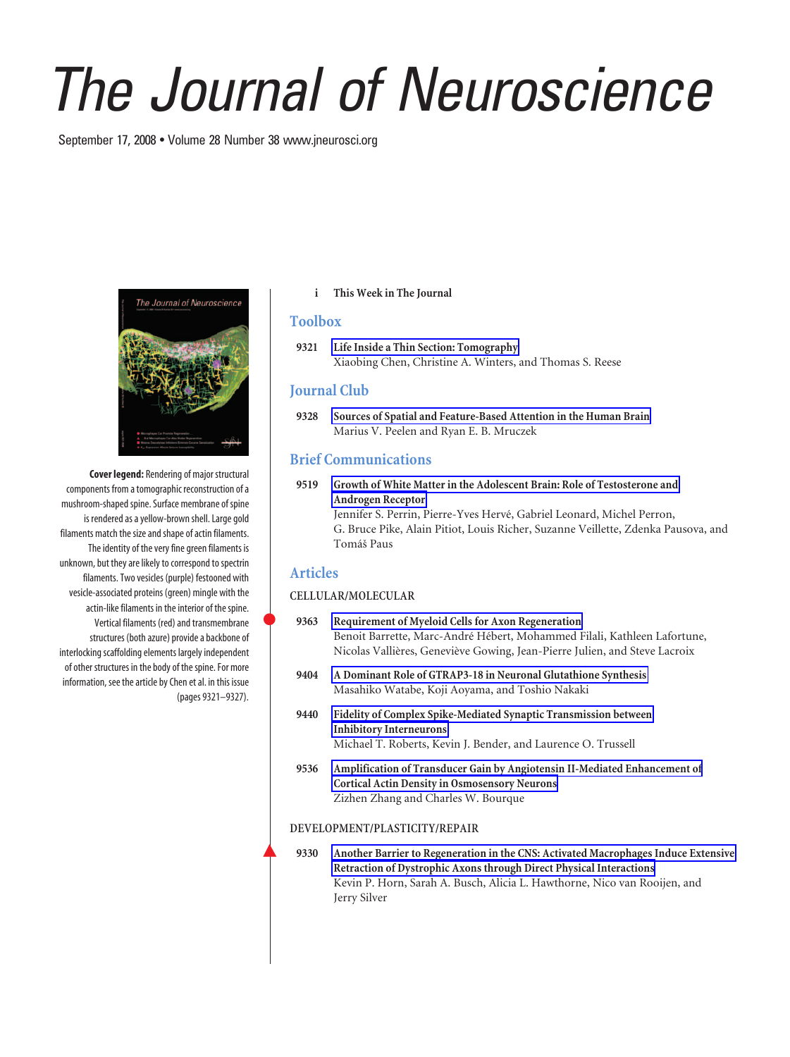# *The Journal of Neuroscience*

September 17, 2008 • Volume 28 Number 38 www.jneurosci.org



**Cover legend:** Rendering of major structural components from a tomographic reconstruction of a mushroom-shaped spine. Surface membrane of spine is rendered as a yellow-brown shell. Large gold filaments match the size and shape of actin filaments. The identity of the very fine green filaments is unknown, but they are likely to correspond to spectrin filaments. Two vesicles (purple) festooned with vesicle-associated proteins (green) mingle with the actin-like filaments in the interior of the spine. Vertical filaments (red) and transmembrane structures (both azure) provide a backbone of interlocking scaffolding elements largely independent of other structures in the body of the spine. For more information, see the article by Chen et al. in this issue (pages 9321–9327).

**i This Week in The Journal**

## **Toolbox**

**9321 Life Inside a Thin Section: Tomography** Xiaobing Chen, Christine A. Winters, and Thomas S. Reese

# **Journal Club**

**9328 Sources of Spatial and Feature-Based Attention in the Human Brain** Marius V. Peelen and Ryan E. B. Mruczek

# **Brief Communications**

**9519 Growth of White Matter in the Adolescent Brain: Role of Testosterone and Androgen Receptor** Jennifer S. Perrin, Pierre-Yves Hervé, Gabriel Leonard, Michel Perron,

G. Bruce Pike, Alain Pitiot, Louis Richer, Suzanne Veillette, Zdenka Pausova, and Tomáš Paus

## **Articles**

### **CELLULAR/MOLECULAR**

- **9363 Requirement of Myeloid Cells for Axon Regeneration** Benoit Barrette, Marc-André Hébert, Mohammed Filali, Kathleen Lafortune, Nicolas Vallières, Geneviève Gowing, Jean-Pierre Julien, and Steve Lacroix
- **9404 A Dominant Role of GTRAP3-18 in Neuronal Glutathione Synthesis** Masahiko Watabe, Koji Aoyama, and Toshio Nakaki
- **9440 Fidelity of Complex Spike-Mediated Synaptic Transmission between Inhibitory Interneurons** Michael T. Roberts, Kevin J. Bender, and Laurence O. Trussell
- **9536 Amplification of Transducer Gain by Angiotensin II-Mediated Enhancement of Cortical Actin Density in Osmosensory Neurons** Zizhen Zhang and Charles W. Bourque

#### **DEVELOPMENT/PLASTICITY/REPAIR**

9330 Another Barrier to Regeneration in the CNS: Activated Macrophages Induce Extensive **Retraction of Dystrophic Axons through Direct Physical Interactions** Kevin P. Horn, Sarah A. Busch, Alicia L. Hawthorne, Nico van Rooijen, and Jerry Silver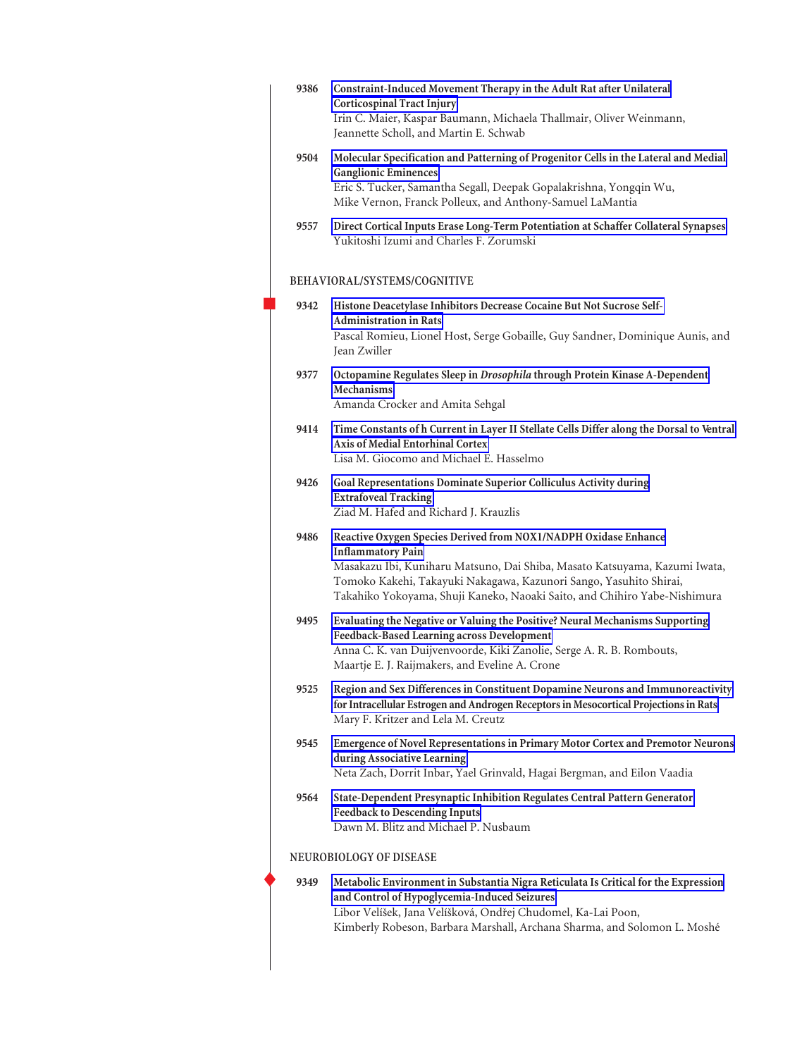| 9386 | Constraint-Induced Movement Therapy in the Adult Rat after Unilateral<br><b>Corticospinal Tract Injury</b><br>Irin C. Maier, Kaspar Baumann, Michaela Thallmair, Oliver Weinmann,<br>Jeannette Scholl, and Martin E. Schwab                                                                                                  |
|------|------------------------------------------------------------------------------------------------------------------------------------------------------------------------------------------------------------------------------------------------------------------------------------------------------------------------------|
| 9504 | Molecular Specification and Patterning of Progenitor Cells in the Lateral and Medial<br><b>Ganglionic Eminences</b><br>Eric S. Tucker, Samantha Segall, Deepak Gopalakrishna, Yongqin Wu,<br>Mike Vernon, Franck Polleux, and Anthony-Samuel LaMantia                                                                        |
| 9557 | Direct Cortical Inputs Erase Long-Term Potentiation at Schaffer Collateral Synapses<br>Yukitoshi Izumi and Charles F. Zorumski                                                                                                                                                                                               |
|      | BEHAVIORAL/SYSTEMS/COGNITIVE                                                                                                                                                                                                                                                                                                 |
| 9342 | Histone Deacetylase Inhibitors Decrease Cocaine But Not Sucrose Self-<br><b>Administration in Rats</b><br>Pascal Romieu, Lionel Host, Serge Gobaille, Guy Sandner, Dominique Aunis, and<br>Jean Zwiller                                                                                                                      |
| 9377 | Octopamine Regulates Sleep in Drosophila through Protein Kinase A-Dependent<br><b>Mechanisms</b><br>Amanda Crocker and Amita Sehgal                                                                                                                                                                                          |
| 9414 | Time Constants of h Current in Layer II Stellate Cells Differ along the Dorsal to Ventral<br>Axis of Medial Entorhinal Cortex<br>Lisa M. Giocomo and Michael E. Hasselmo                                                                                                                                                     |
| 9426 | Goal Representations Dominate Superior Colliculus Activity during<br><b>Extrafoveal Tracking</b><br>Ziad M. Hafed and Richard J. Krauzlis                                                                                                                                                                                    |
| 9486 | Reactive Oxygen Species Derived from NOX1/NADPH Oxidase Enhance<br><b>Inflammatory Pain</b><br>Masakazu Ibi, Kuniharu Matsuno, Dai Shiba, Masato Katsuyama, Kazumi Iwata,<br>Tomoko Kakehi, Takayuki Nakagawa, Kazunori Sango, Yasuhito Shirai,<br>Takahiko Yokoyama, Shuji Kaneko, Naoaki Saito, and Chihiro Yabe-Nishimura |
| 9495 | Evaluating the Negative or Valuing the Positive? Neural Mechanisms Supporting<br>Feedback-Based Learning across Development<br>Anna C. K. van Duijvenvoorde, Kiki Zanolie, Serge A. R. B. Rombouts,<br>Maartje E. J. Raijmakers, and Eveline A. Crone                                                                        |
| 9525 | Region and Sex Differences in Constituent Dopamine Neurons and Immunoreactivity<br>for Intracellular Estrogen and Androgen Receptors in Mesocortical Projections in Rats<br>Mary F. Kritzer and Lela M. Creutz                                                                                                               |
| 9545 | Emergence of Novel Representations in Primary Motor Cortex and Premotor Neurons<br>during Associative Learning<br>Neta Zach, Dorrit Inbar, Yael Grinvald, Hagai Bergman, and Eilon Vaadia                                                                                                                                    |
| 9564 | State-Dependent Presynaptic Inhibition Regulates Central Pattern Generator<br><b>Feedback to Descending Inputs</b><br>Dawn M. Blitz and Michael P. Nusbaum                                                                                                                                                                   |
|      | NEUROBIOLOGY OF DISEASE                                                                                                                                                                                                                                                                                                      |
| 9349 | Metabolic Environment in Substantia Nigra Reticulata Is Critical for the Expression<br>and Control of Hypoglycemia-Induced Seizures<br>Libor Velíšek, Jana Velíšková, Ondřej Chudomel, Ka-Lai Poon,<br>Kimberly Robeson, Barbara Marshall, Archana Sharma, and Solomon L. Moshé                                              |